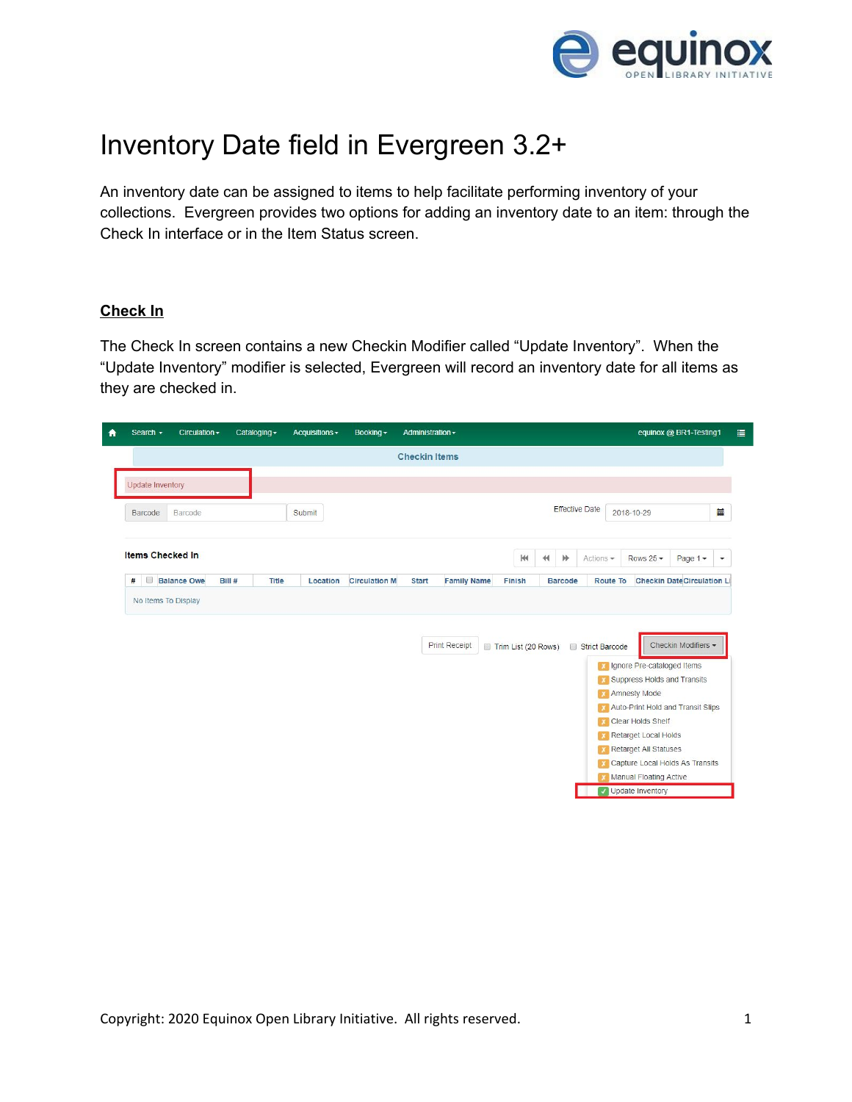

## Inventory Date field in Evergreen 3.2+

An inventory date can be assigned to items to help facilitate performing inventory of your collections. Evergreen provides two options for adding an inventory date to an item: through the Check In interface or in the Item Status screen.

## **Check In**

The Check In screen contains a new Checkin Modifier called "Update Inventory". When the "Update Inventory" modifier is selected, Evergreen will record an inventory date for all items as they are checked in.

|                       | equinox @ BR1-Testing1            |                                                                                                               |                 |                       |                |                      |                     |                    | Administration -     | Booking -            | Acquisitions - | Cataloging - |        | Circulation $\sim$ | Search -                |
|-----------------------|-----------------------------------|---------------------------------------------------------------------------------------------------------------|-----------------|-----------------------|----------------|----------------------|---------------------|--------------------|----------------------|----------------------|----------------|--------------|--------|--------------------|-------------------------|
|                       |                                   |                                                                                                               |                 |                       |                |                      |                     |                    | <b>Checkin Items</b> |                      |                |              |        |                    |                         |
|                       |                                   |                                                                                                               |                 |                       |                |                      |                     |                    |                      |                      |                |              |        |                    | Update Inventory        |
| Ë                     |                                   | 2018-10-29                                                                                                    |                 | <b>Effective Date</b> |                |                      |                     |                    |                      |                      | Submit         |              |        | Barcode            | Barcode                 |
| $\check{\phantom{a}}$ | Page $1 -$                        | Rows $25 -$                                                                                                   |                 | Actions $\sim$        | 眇              | $\blacktriangleleft$ | $\mathbb{H}$        |                    |                      |                      |                |              |        |                    | <b>Items Checked In</b> |
|                       | <b>Checkin DateCirculation Li</b> |                                                                                                               | <b>Route To</b> |                       | <b>Barcode</b> |                      | Finish              | <b>Family Name</b> | <b>Start</b>         | <b>Circulation M</b> | Location       | Title        | Bill # | <b>Balance Owe</b> | $\Box$<br>$\#$          |
|                       |                                   |                                                                                                               |                 |                       |                |                      |                     |                    |                      |                      |                |              |        |                    |                         |
|                       |                                   |                                                                                                               |                 |                       |                |                      |                     |                    |                      |                      |                |              |        |                    | No Items To Display     |
|                       | Checkin Modifiers -               | <b>X</b> Ignore Pre-cataloged Items<br>X Suppress Holds and Transits<br><b>X</b> Amnesty Mode                 |                 | Strict Barcode        |                |                      | Trim List (20 Rows) | Print Receipt      |                      |                      |                |              |        |                    |                         |
|                       |                                   | <b>X</b> Auto-Print Hold and Transit Slips<br><b>Clear Holds Shelf</b><br><b>X</b> Retarget Local Holds       |                 |                       |                |                      |                     |                    |                      |                      |                |              |        |                    |                         |
|                       |                                   | <b>K</b> Retarget All Statuses<br><b>x</b> Capture Local Holds As Transits<br><b>X</b> Manual Floating Active |                 |                       |                |                      |                     |                    |                      |                      |                |              |        |                    |                         |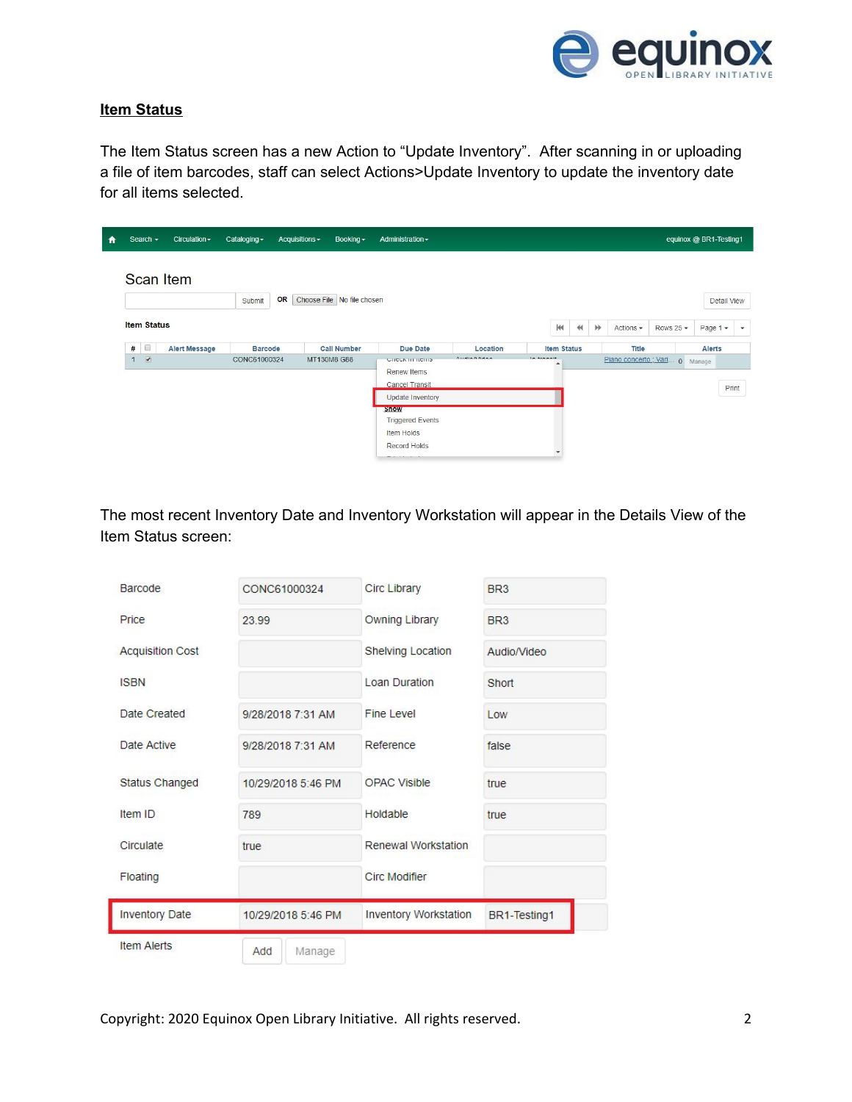

## **Item Status**

The Item Status screen has a new Action to "Update Inventory". After scanning in or uploading a file of item barcodes, staff can select Actions>Update Inventory to update the inventory date for all items selected.

| ₩ | Search $\sim$                            | Circulation -        | Cataloging -   | Acquisitions $\sim$ | Booking $\sim$             | Administration -                                                                                     |                 |                    |                                                   |                         |                 | equinox @ BR1-Testing1 |              |
|---|------------------------------------------|----------------------|----------------|---------------------|----------------------------|------------------------------------------------------------------------------------------------------|-----------------|--------------------|---------------------------------------------------|-------------------------|-----------------|------------------------|--------------|
|   |                                          | <b>Scan Item</b>     |                |                     |                            |                                                                                                      |                 |                    |                                                   |                         |                 |                        |              |
|   |                                          |                      | Submit         | OR                  | Choose File No file chosen |                                                                                                      |                 |                    |                                                   |                         |                 |                        | Detail View  |
|   | <b>Item Status</b>                       |                      |                |                     |                            |                                                                                                      |                 | H                  | $\not\blacktriangleright$<br>$\blacktriangleleft$ | Actions -               | Rows 25 $\star$ | Page $1 -$             | $\mathbf{v}$ |
|   | $\Box$<br>#                              | <b>Alert Message</b> | <b>Barcode</b> |                     | <b>Call Number</b>         | Due Date                                                                                             | Location        | <b>Item Status</b> |                                                   | Title                   |                 | Alerts                 |              |
|   | $\overline{\mathcal{L}}$<br>$\mathbf{1}$ |                      | CONC61000324   |                     | MT130M8 G88                | <b>UTICUA TITTICITIS</b><br>Renew Items<br><b>Cancel Transit</b>                                     | $A.$ din Afidan | In tennait<br>٠    |                                                   | Piano concerto ; Vari 0 |                 | Manage                 | Print        |
|   |                                          |                      |                |                     |                            | <b>Update Inventory</b>                                                                              |                 |                    |                                                   |                         |                 |                        |              |
|   |                                          |                      |                |                     |                            | snow<br><b>Triggered Events</b><br>Item Holds<br>Record Holds<br>The advance fundamental control and |                 | $\mathbf{v}$       |                                                   |                         |                 |                        |              |

The most recent Inventory Date and Inventory Workstation will appear in the Details View of the Item Status screen:

| <b>Barcode</b>          | CONC61000324       | <b>Circ Library</b>          | BR <sub>3</sub> |
|-------------------------|--------------------|------------------------------|-----------------|
| Price                   | 23.99              | Owning Library               | BR <sub>3</sub> |
| <b>Acquisition Cost</b> |                    | <b>Shelving Location</b>     | Audio/Video     |
| <b>ISBN</b>             |                    | <b>Loan Duration</b>         | Short           |
| Date Created            | 9/28/2018 7:31 AM  | <b>Fine Level</b>            | Low             |
| Date Active             | 9/28/2018 7:31 AM  | Reference                    | false           |
| Status Changed          | 10/29/2018 5:46 PM | <b>OPAC Visible</b>          | true            |
| Item ID                 | 789                | Holdable                     | true            |
| Circulate               | true               | <b>Renewal Workstation</b>   |                 |
| Floating                |                    | <b>Circ Modifier</b>         |                 |
| <b>Inventory Date</b>   | 10/29/2018 5:46 PM | <b>Inventory Workstation</b> | BR1-Testing1    |
| <b>Item Alerts</b>      | Manage<br>Add      |                              |                 |